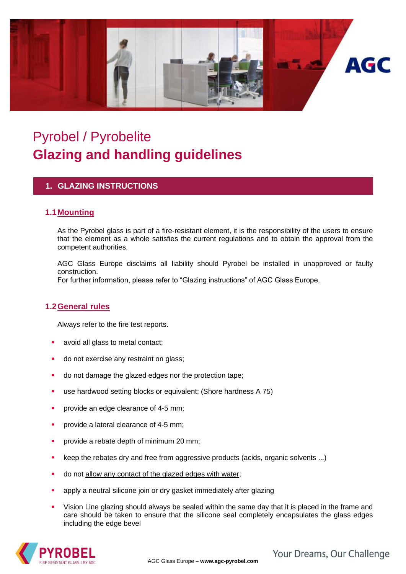

# Pyrobel / Pyrobelite **Glazing and handling guidelines**

### **1. GLAZING INSTRUCTIONS**

#### **1.1Mounting**

As the Pyrobel glass is part of a fire-resistant element, it is the responsibility of the users to ensure that the element as a whole satisfies the current regulations and to obtain the approval from the competent authorities.

AGC Glass Europe disclaims all liability should Pyrobel be installed in unapproved or faulty construction.

For further information, please refer to "Glazing instructions" of AGC Glass Europe.

#### **1.2General rules**

Always refer to the fire test reports.

- avoid all glass to metal contact;
- do not exercise any restraint on glass;
- do not damage the glazed edges nor the protection tape;
- use hardwood setting blocks or equivalent; (Shore hardness A 75)
- **•** provide an edge clearance of 4-5 mm;
- provide a lateral clearance of 4-5 mm;
- **•** provide a rebate depth of minimum 20 mm;
- keep the rebates dry and free from aggressive products (acids, organic solvents ...)
- do not allow any contact of the glazed edges with water;
- apply a neutral silicone join or dry gasket immediately after glazing
- Vision Line glazing should always be sealed within the same day that it is placed in the frame and care should be taken to ensure that the silicone seal completely encapsulates the glass edges including the edge bevel



Your Dreams, Our Challenge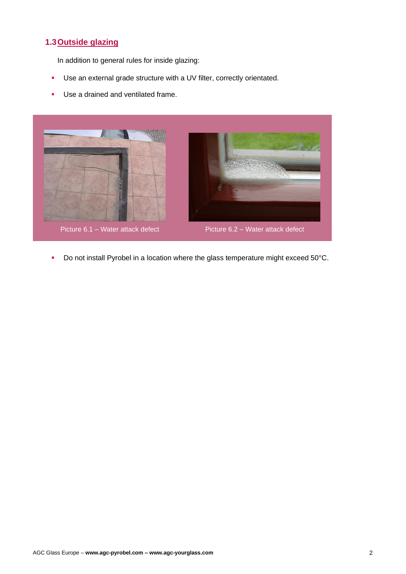## **1.3Outside glazing**

In addition to general rules for inside glazing:

- Use an external grade structure with a UV filter, correctly orientated.
- **■** Use a drained and ventilated frame.



■ Do not install Pyrobel in a location where the glass temperature might exceed 50°C.